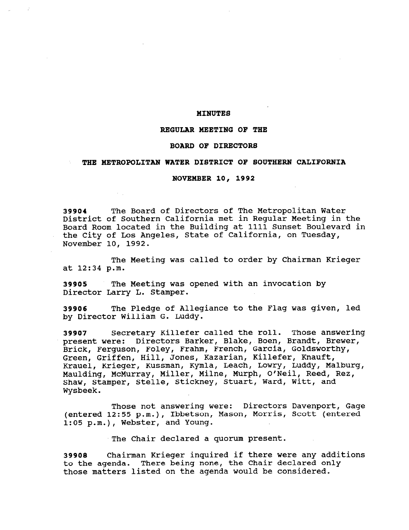## MINUTES

# REGULAR MEETING OF THE

### BOARD OF DIRECTORS

# THE METROPOLITAN WATER DISTRICT OF SOUTHERN CALIFORNIA

### NOVEMBER 10, 1992

39904 The Board of Directors of The Metropolitan Water District of Southern California met in Regular Meeting in the Board Room located in the Building at 1111 Sunset Boulevard in the City of Los Angeles, State of California, on Tuesday, November 10, 1992.

The Meeting was called to order by Chairman Krieger at 12:34 p.m.

39905 The Meeting was opened with an invocation by Director Larry L. Stamper.

39906 The Pledge of Allegiance to the Flag was given, led by Director William G. Luddy.

39907 Secretary Killefer called the roll. Those answering present were: Directors Barker, Blake, Boen, Brandt, Brewer, Brick, Ferguson, Foley, Frahm, French, Garcia, Goldsworthy, Green, Griffen, Hill, Jones, Kazarian, Killefer, Knauft, Krauel, Krieger, Kussman, Kymla, Leach, Lowry, Luddy, Malburg, Maulding, McMurray, Miller, Milne, Murph, O/Neil, Reed, Rez, Shaw, Stamper, Stelle, Stickney, Stuart, Ward, Witt, and Wysbeek.

Those not answering were: Directors Davenport, Gage (entered 12:55 p.m.), Ibbetson, Mason, Morris, Scott (entered<br>Actional 12:55 p.m.), Ibbetson, Mason, Morris, Scott (entere 1:05 p.m.), Webster, and Young.

The Chair declared a quorum present.

39908 Chairman Krieger inquired if there were any additions to the agenda. There being none, the Chair declared only those matters listed on the agenda would be considered.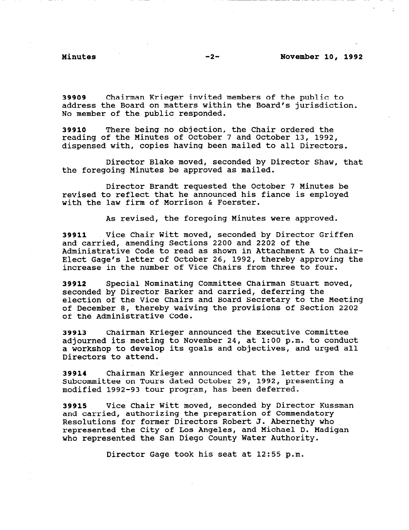39909 Chairman Krieger invited members of the public to address the Board on matters within the Board's jurisdiction. No member of the public responded.

39910 There being no objection, the Chair ordered the reading of the Minutes of October 7 and October 13, 1992, dispensed with, copies having been mailed to all Directors.

Director Blake moved, seconded by Director Shaw, that the foregoing Minutes be approved as mailed.

Director Brandt requested the October 7 Minutes be revised to reflect that he announced his fiance is employed with the law firm of Morrison & Foerster.

As revised, the foregoing Minutes were approved.

39911 Vice Chair Witt moved, seconded by Director Griffen and carried, amending Sections 2200 and 2202 of the Administrative Code to read as shown in Attachment A to Chair-Elect Gage's letter of October 26, 1992, thereby approving the increase in the number of Vice Chairs from three to four.

39912 Special Nominating Committee Chairman Stuart moved, seconded by Director Barker and carried, deferring the election of the Vice Chairs and Board Secretary to the Meeting of December 8, thereby waiving the provisions of Section 2202 of the Administrative Code.

39913 Chairman Krieger announced the Executive Committee adjourned its meeting to November 24, at 1:00 p.m. to conduct a workshop to develop its goals and objectives, and urged all Directors to attend.

39914 Chairman Krieger announced that the letter from the Subcommittee on Tours dated October 29, 1992, presenting a modified 1992-93 tour program, has been deferred.

39915 Vice Chair Witt moved, seconded by Director Kussman and carried, authorizing the preparation of Commendatory Resolutions for former Directors Robert J. Abernethy who Resolutions for former directors kodert d. Adernethy who represented the City of Los Angeles, and Michael D. Madigan<br>who represented the San Diego County Water Authority.

Director Gage took his seat at 12:55 p.m.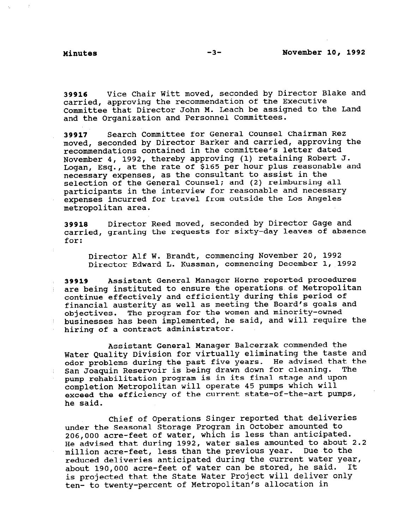39916 Vice Chair Witt moved, seconded by Director Blake and carried, approving the recommendation of the Executive Committee that Director John M. Leach be assigned to the Land and the Organization and Personnel Committees.

39917 Search Committee for General Counsel Chairman Rez moved, seconded by Director Barker and carried, approving the recommendations contained in the committee's letter dated November 4, 1992, thereby approving (1) retaining Robert J. Logan, Esq., at the rate of \$165 per hour plus reasonable and necessary expenses, as the consultant to assist in the selection of the General Counsel; and (2) reimbursing all participants in the interview for reasonable and necessary expenses incurred for travel from outside the Los Angeles metropolitan area.

39918 Director Reed moved, seconded by Director Gage and carried, granting the requests for sixty-day leaves of absence for:

Director Alf W. Brandt, commencing November 20, 1992 Director Edward L. Kussman, commencing December 1, 1992

39919 Assistant General Manager Horne reported procedures are being instituted to ensure the operations of Metropolitan continue effectively and efficiently during this period of financial austerity as well as meeting the Board's goals and objectives. The program for the women and minority-owned businesses has been implemented, he said, and will require the hiring of a contract administrator.

Assistant General Manager Balcerzak commended the Water Quality Division for virtually eliminating the taste and odor problems during the past five years. He advised that the San Joaquin Reservoir is being drawn down for cleaning. The pump rehabilitation program is in its final stage and upon completion Metropolitan will operate 45 pumps which will exceed the efficiency of the current state-of-the-art pumps, he said.

Chief of Operations Singer reported that deliveries under the Seasonal Storage Program in October amounted to 206,000 acre-feet of water, which is less than anticipated. He advised that during 1992, water sales amounted to about 2.2 He advised that during 1992, water sales amounted to about million acre-feet, less than the previous year. Due to the reduced deliveries anticipated during the current water year, about 190,000 acre-feet of water can be stored, he said. It is projected that the State Water Project will deliver only ten- to twenty-percent of Metropolitan's allocation in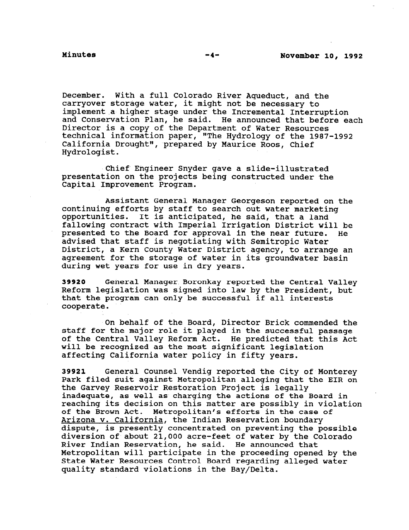December. With a full Colorado River Aqueduct, and the carryover storage water, it might not be necessary to imp1ement.a higher stage under the Incremental Interruption and Conservation Plan, he said. He announced that before each Director is a copy of the Department of Water Resources technical information paper, "The Hydrology of the 1987-1992 California Drought", prepared by Maurice Roos, Chief Hydrologist.

Chief Engineer Snyder gave a slide-illustrated presentation on the projects being constructed under the Capital Improvement Program.

Assistant General Manager Georgeson reported on the continuing efforts by staff to search out water marketing opportunities. It is anticipated, he said, that a land fallowing contract with Imperial Irrigation District will be presented to the Board for approval in the near future. He advised that staff is negotiating with Semitropic Water District, a Kern County Water District agency, to arrange an agreement for the storage of water in its groundwater basin during wet years for use in dry years.

39920 General Manager Boronkay reported the Central Valley Reform legislation was signed into law by the President, but that the program can only be successful if all interests cooperate.

On behalf of the Board, Director Brick commended the staff for the major role it played in the successful passage of the Central Valley Reform Act. He predicted that this Act will be recognized as the most significant legislation affecting California water policy in fifty years.

39921 General Counsel Vendig reported the City of Monterey Park filed suit against Metropolitan alleging that the EIR on the Garvey Reservoir Restoration Project is legally inadequate, as well as charging the actions of the Board in reaching its decision on this matter are possibly in violation of the Brown Act. Metropolitan's efforts in the case of of the Brown Act. Metropolitan's efforts in the case of Arizona v. California, the Indian Reservation boundary dispute, is presently concentrated on preventing the possible<br>diversion of about 21,000 acre-feet of water by the Colorado River Indian Reservation, he said. He announced that Miver indian Reservation, he said. He announced that<br>Metropoliter will participate in the proceeding opened by the metropolitan will participate in the proceeding opened by the control Board regarding alleged water. State Water Resources Control Board regarding alleged water<br>quality standard violations in the Bay/Delta.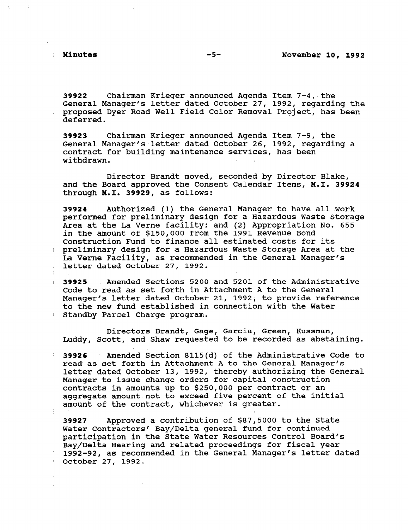39922 Chairman Krieger announced Agenda Item 7-4, the General Manager's letter dated October 27,. 1992, regarding the proposed Dyer Road Well Field Color Removal Project, has been deferred.

39923 Chairman Krieger announced Agenda Item 7-9, the General Manager's letter dated October 26, 1992, regarding a contract for building maintenance services, has been withdrawn.

Director Brandt moved, seconded by Director Blake, and the Board approved the Consent Calendar Items, M.I. 39924 through M.I. 39929, as follows:

39924 Authorized (1) the General Manager to have allwork performed for preliminary design for a Hazardous Waste Storage Area at the La Verne facility: and (2) Appropriation No. 655 in the amount of \$150,000 from the 1991 Revenue Bond Construction Fund to finance all estimated costs for its preliminary design for a Hazardous Waste Storage Area at the La Verne Facility, as recommended in the General Manager's letter dated October 27, 1992.

39925 Amended Sections 5200 and 5201 of the Administrative Code to read as set forth in Attachment A to the General Manager's letter dated October 21, 1992, to provide reference to the new fund established in connection with the Water Standby Parcel Charge program.

Directors Brandt, Gage, Garcia, Green, Kussman, Luddy, Scott, and Shaw requested to be recorded as abstaining.

39926 Amended Section 8115(d) of the Administrative Code to read as set forth in Attachment A to the General Manager's letter dated October 13, 1992, thereby authorizing the General Manager to issue change orders for capital construction contracts in amounts up to \$250,000 per contract or an aggregate amount not to exceed five percent of the initial amount of the contract, whichever is greater.

39927 Approved a contribution of \$87,5000 to the State Water Contractors' Bay/Delta general fund for continued participation in the State Water Resources Control Board's Bay/Delta Hearing and related proceedings for fiscal year 1992-92, as recommended in the General Manager's letter dated October 27, 1992.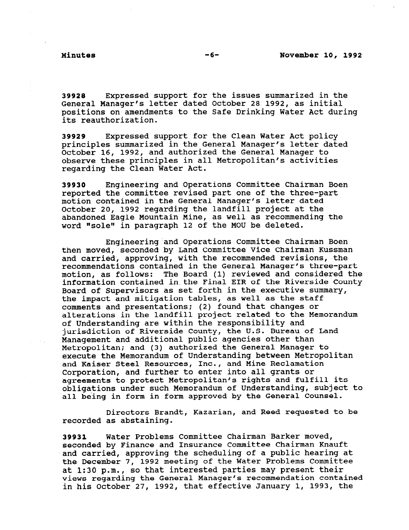39928 Expressed support for the issues summarized in the General Manager's letter dated October 28 1992, as initial positions on amendments to the Safe Drinking Water Act during its reauthorization.

39929 Expressed support for the Clean Water Act policy principles summarized in the General Manager's letter dated October 16, 1992, and authorized the General Manager to observe these principles in all Metropolitan's activities regarding the Clean Water Act.

39930 Engineering and Operations Committee Chairman Boen reported the committee revised part one of the three-part motion contained in the General Manager's letter dated October 20, 1992 regarding the landfill project at the abandoned Eagle Mountain Mine, as well as recommending the word "sole" in paragraph 12 of the MOU be deleted.

Engineering'and Operations Committee Chairman Boen then moved, seconded by Land Committee Vice Chairman Kussman and carried, approving, with the recommended revisions, the recommendations contained in the General Manager's three-part motion, as follows: The Board (1) reviewed and considered the information contained in.the Final EIR of the Riverside County Board of Supervisors as set forth in the executive summary, the impact and mitigation tables, as well as the staff comments and presentations: (2) found that changes or alterations in the landfill project related to the Memorandum of Understanding are within the responsibility and jurisdiction of Riverside County, the U.S. Bureau of Land Management and additional public agencies other than Metropolitan; and (3) authorized the General Manager to execute the Memorandum of Understanding between Metropolitan and Kaiser Steel Resources, Inc., and Mine Reclamation Corporation, and further to enter into all grants or agreements to protect Metropolitan's rights and fulfill its obligqtions under such Memorandum of Understanding, subject to all being in form in form approved by the General Counsel.

Directors Brandt, Kazarian, and Reed requested to be recorded as abstaining.

39931 Water Problems Committee Chairman Barker moved, seconded by Finance and Insurance Committee Chairman Knauft seconded by rinduce and insurance committee chairman madit and Carried, approving the Scheduling of a public hearing of<br>the December 7, 1993 meeting of the Water Problems Committe che becemper 7, 1992 meeting of the water fropiems commit<br>the becemper 7, 1992 meeting of the water fropiems commit at 1:30 p.m., so that interested parties may present their views regarding the General Manager's recommendation contained<br>in his October 27, 1992, that effective January 1, 1993, the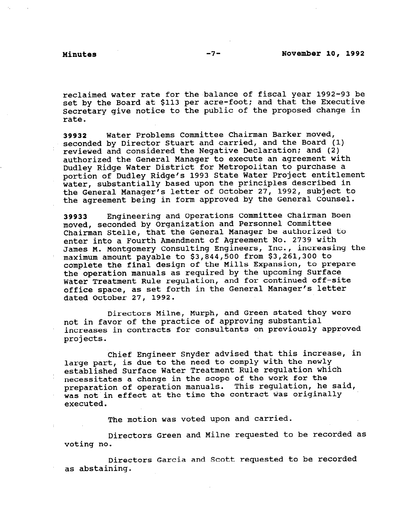reclaimed water rate for the balance of fiscal year 1992-93 be set by the Board at \$113 per acre-foot; and that the Executive Secretary give notice to the public of the proposed change in rate.

39932 Water Problems Committee Chairman Barker moved, seconded by Director Stuart and carried, and the Board (1) reviewed and considered the Negative Declaration; and (2) authorized the General Manager to execute an agreement with Dudley Ridge Water District for Metropolitan to purchase a portion of Dudley Ridge's 1993 State Water Project entitlement water, substantially based upon the principles described in the General Manager's letter of October 27, 1992, subject to the agreement being in form approved by the General Counsel.

39933 Engineering and Operations Committee Chairman Boen moved, seconded by Organization and Personnel Committee Chairman Stelle, that the General Manager be authorized to enter into a Fourth Amendment of Agreement No. 2739 with James M. Montgomery Consulting Engineers, Inc., increasing the maximum amount payable to \$3,844,500 from \$3,261,300 to complete the final design of the Mills Expansion, to prepare the operation manuals as required by the upcoming Surface Water Treatment Rule regulation, and for continued off-site office space, as set forth in the General Manager's letter dated October 27, 1992.

Directors Milne, Murph, and Green stated they were not in favor of the practice of approving substantial increases in contracts for consultants on previously approved projects.

Chief Engineer Snyder advised that this increase, in large part, is due to the need to comply with the newly established Surface Water Treatment Rule regulation which necessitates a change in the scope of the work for the preparation of operation manuals. This regulation, he said, was not in effect at the time the contract was originally executed.

The motion was voted upon and carried.

Directors Green and Milne requested to be recorded as voting no.

Directors Garcia and Scott requested to be recorded as abstaining.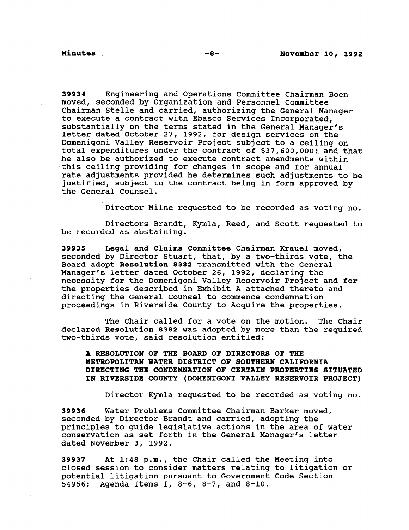39934 Engineering and Operations Committee Chairman Boen moved, seconded by Organization and Personnel Committee Chairman Stelle and carried, authorizing the General Manager to execute a contract with Ebasco Services Incorporated, substantially on the terms stated in the General Manager's letter dated October 27, 1992, for design services on the Domenigoni Valley Reservoir Project subject to a ceiling on total expenditures under the contract of \$37,600,000; and that he also be authorized to execute contract amendments within this ceiling providing for changes in scope and for annual rate adjustments provided he determines such adjustments to be justified, subject to the contract being in form approved by the General Counsel.

Director Milne requested to be recorded as voting no.

Directors Brandt, Kymla, Reed, and Scott requested to be recorded as abstaining.

39935 Legal and Claims Committee Chairman Krauel moved, seconded by Director Stuart, that, by a two-thirds vote, the Board adopt Resolution 8382 transmitted with the General Manager's letter dated October 26, 1992, declaring the necessity for the Domenigoni Valley Reservoir Project and for the properties described in Exhibit A attached thereto and directing the General Counsel to commence condemnation proceedings in Riverside County to Acquire the properties.

The Chair called for a vote on the motion. The Chair declared Resolution 8382 was adopted by more than the required two-thirds vote, said resolution entitled:

A RESOLUTION OF THE BOARD OF DIRECTORS OF THE METROPOLITAN WATER DISTRICT OF SOUTHERN CALIFORNIA DIRECTING THE CONDEMNATION OF CERTAIN PROPERTIES SITUATED IN RIVERSIDE COUNTY (DOMENIGONI VALLEY RESERVOIR PROJECT)

Director Kymla requested to be recorded as voting no.

39936 Water Problems Committee Chairman Barker moved, seconded by Director Brandt and carried, adopting the principles to guide legislative actions in the area of water conservation as set forth in the General Manager's letter dated November 3, 1992.

39937 At 1:48 p.m., the Chair called the Meeting into  $\epsilon$  and set of  $\epsilon$  is the constant  $\epsilon$  and  $\epsilon$  is the matters relating to litigation or prosed session to consider matters relating to fittigat potential litigation pursuant to Government Code Section<br>54956: Agenda Items I, 8-6, 8-7, and 8-10.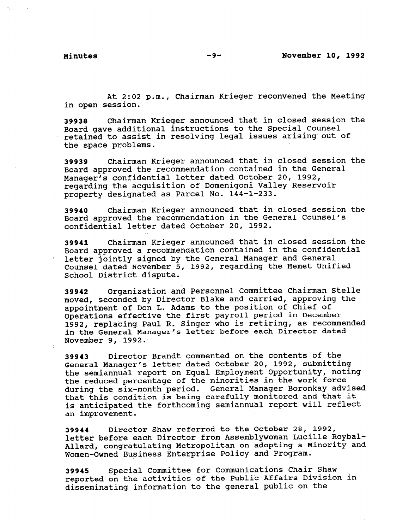At 2:02 p.m., Chairman Krieger reconvened the Meeting in open session.

39938 Chairman Krieger announced that in closed session the Board gave additional instructions to the Special Counsel retained to assist in resolving legal issues arising out of the space problems.

39939 Chairman Krieger announced that in closed session the Board approved the recommendation contained in the General Manager's confidential letter dated October 20, 1992, regarding the acquisition of Domenigoni Valley Reservoir property designated as Parcel No. 144-1-233.

39940 Chairman Krieger announced that in closed session the Board approved the recommendation in the General Counsel's confidential letter dated October 20, 1992.

39941 Chairman Krieger announced that in closed session the Board approved a recommendation contained in the confidential letter jointly signed by the General Manager and General Counsel dated November 5, 1992, regarding the Hemet Unified School District dispute.

39942 Organization and Personnel Committee Chairman Stelle moved, seconded by Director Blake and carried, approving the appointment of Don L. Adams to the position of Chief of Operations effective the first payroll period in December 1992, replacing Paul R. Singer who is retiring, as recommended in the General Manager's letter before each Director dated November 9, 1992.

39943 Director Brandt commented on the contents of the General Manager's letter dated October 20, 1992, submitting the semiannual report on Equal Employment Opportunity, noting the reduced percentage of the minorities in the work force during the six-month period. General Manager Boronkay advised that this condition is being carefully monitored and that it that this condition is being carefully monitored and that it<br>is anticipated the forthcoming semiannual report will reflect an improvement.

39944 Director Shaw referred to the October 28, 1992, letter before each Director from Assemblywoman Lucille Roybal-Allard, congratulating Metropolitan on adopting a Minority and Women-Owned Business Enterprise Policy and Program.

39945 Special Committee for Communications Chair Shaw reported on the activities of the Public Affairs Division in disseminating information to the general public on the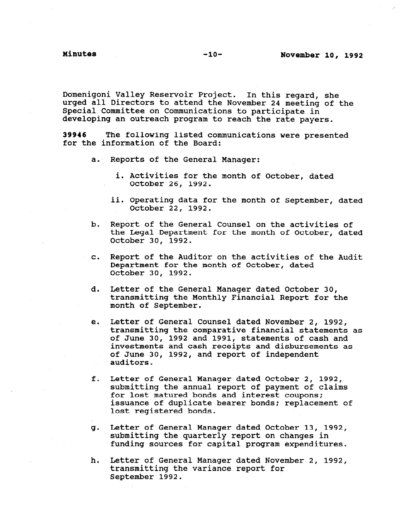Domenigoni Valley Reservoir Project. In this regard, she urged all Directors to attend the November 24 meeting of the Special Committee on Communications to participate in developing an outreach program to reach the rate payers.

39946 The following listed communications were presented for the information of the Board:

- a. Reports of the General Manage
	- i. Activities for the month of October, dated October 26, 1992.
	- ii. Operating data for the month of September, dated October 22, 1992.
- b. Report of the General Counsel on the activities of the Legal Department for the month of October, dated October 30, 1992.
- C. Report of the Auditor on the activities of the Audit Department for the month of October, dated October 30, 1992.
- d. Letter of the General Manager dated October 30, transmitting the Monthly Financial Report for the month of September.
- e. Letter of General Counsel dated November 2, 1992, transmitting the comparative financial statements as of June 30, 1992 and 1991, statements of cash and investments and cash receipts and disbursements as of June 30, 1992, and report of independent auditors.
- f. Letter of General Manager dated October 2, 1992, submitting the annual report of payment of claims for lost matured bonds and interest coupons; issuance of duplicate bearer bonds: replacement of lost registered bonds.
- Letter of General Manager dated October 13, 1992, q. submitting the quarterly report on changes in submitting the quarterly report on changes in<br>funding sources for capital program expenditures.
- h. Letter of General Manager dated November 2, 1992, terted of deneral nanager dated now transmitting the variance report for<br>September 1992.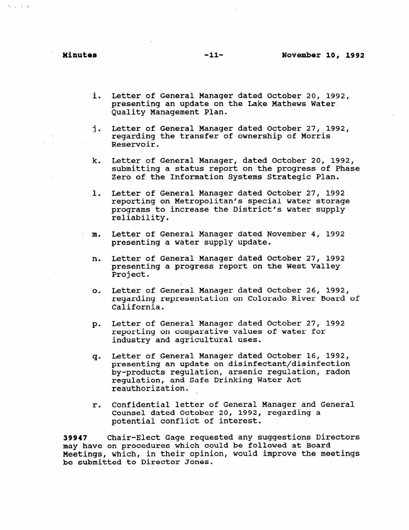$4.138$ 

- i. Letter of General Manager dated October 20, 1992, presenting an update on the Lake-Mathews Water-Quality Management Plan.
- i. Letter of General Manager dated October 27, 1992, regarding the transfer of ownership of Morris Reservoir.
- k. Letter of General Manager, dated October 20, 1992, submitting a status report on the progress of Phase Zero of the Information Systems Strategic Plan.
- 1. Letter of General Manager dated October 27, 1992 reporting on Metropolitan's special water storage programs to increase the District's water supply reliability.
- m. Letter of General Manager dated November 4, 1992 presenting a water supply update.
- n. Letter of General Manager dated October 27, 1992 presenting a progress report on the West Valley Project.
- 0. Letter of General Manager dated October 26, 1992, regarding representation on Colorado River Board of California.
- $p_{\cdot}$ Letter of General Manager dated October 27, 1992 reporting on comparative values of water for industry and agricultural uses.
- q-Letter of General Manager dated October 16, 1992, presenting an update on disinfectant/disinfection by-products regulation, arsenic regulation, radon regulation, and Safe Drinking Water Act reauthorization.
- r. Confidential letter of General Manager and General Counsel dated October 20, 1992, regarding a potential conflict of interest.

39947 Chair-Elect Gage requested any suggestions Directors may have on procedures which could be followed at Board may nave on procedures which could be followed at board Meetings, which, in their opinion, would improve the meetings<br>be submitted to Director Jones.